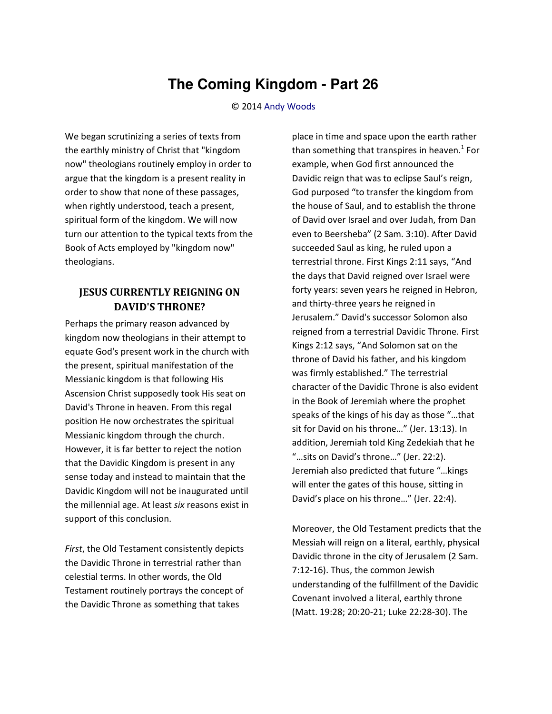## **The Coming Kingdom - Part 26**

## © 2014 [Andy Woods](http://www.spiritandtruth.org/id/aw.htm)

We began scrutinizing a series of texts from the earthly ministry of Christ that "kingdom now" theologians routinely employ in order to argue that the kingdom is a present reality in order to show that none of these passages, when rightly understood, teach a present, spiritual form of the kingdom. We will now turn our attention to the typical texts from the Book of Acts employed by "kingdom now" theologians.

## **JESUS CURRENTLY REIGNING ON DAVID'S THRONE?**

Perhaps the primary reason advanced by kingdom now theologians in their attempt to equate God's present work in the church with the present, spiritual manifestation of the Messianic kingdom is that following His Ascension Christ supposedly took His seat on David's Throne in heaven. From this regal position He now orchestrates the spiritual Messianic kingdom through the church. However, it is far better to reject the notion that the Davidic Kingdom is present in any sense today and instead to maintain that the Davidic Kingdom will not be inaugurated until the millennial age. At least *six* reasons exist in support of this conclusion.

*First*, the Old Testament consistently depicts the Davidic Throne in terrestrial rather than celestial terms. In other words, the Old Testament routinely portrays the concept of the Davidic Throne as something that takes

place in time and space upon the earth rather than something that transpires in heaven.<sup>1</sup> For example, when God first announced the Davidic reign that was to eclipse Saul's reign, God purposed "to transfer the kingdom from the house of Saul, and to establish the throne of David over Israel and over Judah, from Dan even to Beersheba" (2 Sam. 3:10). After David succeeded Saul as king, he ruled upon a terrestrial throne. First Kings 2:11 says, "And the days that David reigned over Israel were forty years: seven years he reigned in Hebron, and thirty-three years he reigned in Jerusalem." David's successor Solomon also reigned from a terrestrial Davidic Throne. First Kings 2:12 says, "And Solomon sat on the throne of David his father, and his kingdom was firmly established.<sup>"</sup> The terrestrial character of the Davidic Throne is also evident in the Book of Jeremiah where the prophet speaks of the kings of his day as those "...that sit for David on his throne..." (Jer. 13:13). In addition, Jeremiah told King Zedekiah that he "...sits on David's throne..." (Jer. 22:2). Jeremiah also predicted that future "...kings will enter the gates of this house, sitting in David's place on his throne..." (Jer. 22:4).

Moreover, the Old Testament predicts that the Messiah will reign on a literal, earthly, physical Davidic throne in the city of Jerusalem (2 Sam. 7:12-16). Thus, the common Jewish understanding of the fulfillment of the Davidic Covenant involved a literal, earthly throne (Matt. 19:28; 20:20-21; Luke 22:28-30). The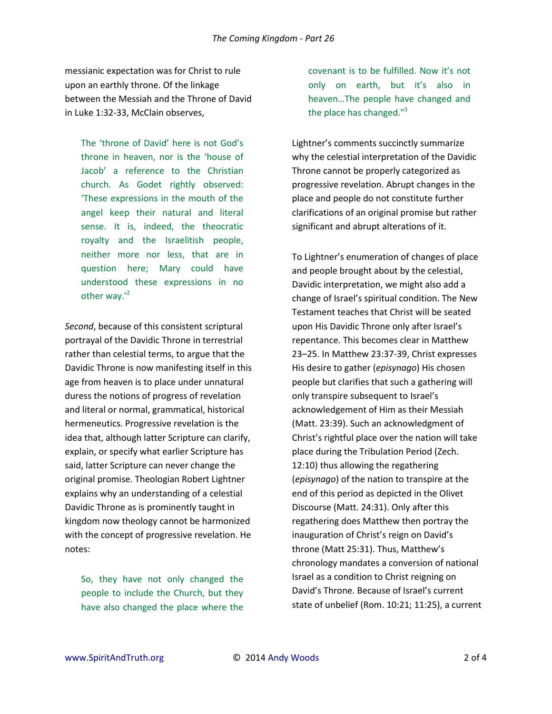messianic expectation was for Christ to rule upon an earthly throne. Of the linkage between the Messiah and the Throne of David in Luke 1:32-33, McClain observes,

The 'throne of David' here is not God's throne in heaven, nor is the 'house of Jacob' a reference to the Christian church. As Godet rightly observed: These expressions in the mouth of the angel keep their natural and literal sense. It is, indeed, the theocratic royalty and the Israelitish people, neither more nor less, that are in question here; Mary could have understood these expressions in no other way. $^{\prime 2}$ 

*Second*, because of this consistent scriptural portrayal of the Davidic Throne in terrestrial rather than celestial terms, to argue that the Davidic Throne is now manifesting itself in this age from heaven is to place under unnatural duress the notions of progress of revelation and literal or normal, grammatical, historical hermeneutics. Progressive revelation is the idea that, although latter Scripture can clarify, explain, or specify what earlier Scripture has said, latter Scripture can never change the original promise. Theologian Robert Lightner explains why an understanding of a celestial Davidic Throne as is prominently taught in kingdom now theology cannot be harmonized with the concept of progressive revelation. He notes:

So, they have not only changed the people to include the Church, but they have also changed the place where the

covenant is to be fulfilled. Now it's not only on earth, but it's also in heaven...The people have changed and the place has changed."<sup>3</sup>

Lightner's comments succinctly summarize why the celestial interpretation of the Davidic Throne cannot be properly categorized as progressive revelation. Abrupt changes in the place and people do not constitute further clarifications of an original promise but rather significant and abrupt alterations of it.

To Lightner's enumeration of changes of place and people brought about by the celestial, Davidic interpretation, we might also add a change of Israel's spiritual condition. The New Testament teaches that Christ will be seated upon His Davidic Throne only after Israel's repentance. This becomes clear in Matthew 23–25. In Matthew 23:37-39, Christ expresses His desire to gather (*episynago*) His chosen people but clarifies that such a gathering will only transpire subsequent to Israel's acknowledgement of Him as their Messiah (Matt. 23:39). Such an acknowledgment of Christ's rightful place over the nation will take place during the Tribulation Period (Zech. 12:10) thus allowing the regathering (*episynago*) of the nation to transpire at the end of this period as depicted in the Olivet Discourse (Matt. 24:31). Only after this regathering does Matthew then portray the inauguration of Christ's reign on David's throne (Matt 25:31). Thus, Matthew's chronology mandates a conversion of national Israel as a condition to Christ reigning on David's Throne. Because of Israel's current state of unbelief (Rom. 10:21; 11:25), a current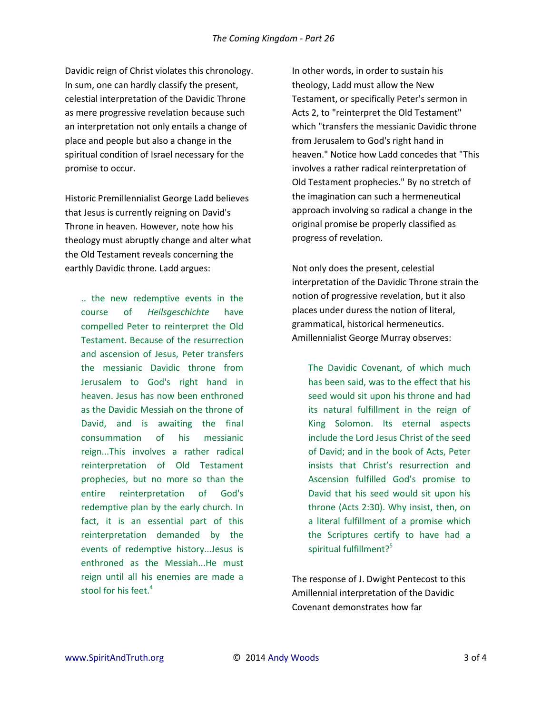Davidic reign of Christ violates this chronology. In sum, one can hardly classify the present, celestial interpretation of the Davidic Throne as mere progressive revelation because such an interpretation not only entails a change of place and people but also a change in the spiritual condition of Israel necessary for the promise to occur.

Historic Premillennialist George Ladd believes that Jesus is currently reigning on David's Throne in heaven. However, note how his theology must abruptly change and alter what the Old Testament reveals concerning the earthly Davidic throne. Ladd argues:

.. the new redemptive events in the course of *Heilsgeschichte* have compelled Peter to reinterpret the Old Testament. Because of the resurrection and ascension of Jesus, Peter transfers the messianic Davidic throne from Jerusalem to God's right hand in heaven. Jesus has now been enthroned as the Davidic Messiah on the throne of David, and is awaiting the final consummation of his messianic reign...This involves a rather radical reinterpretation of Old Testament prophecies, but no more so than the entire reinterpretation of God's redemptive plan by the early church. In fact, it is an essential part of this reinterpretation demanded by the events of redemptive history...Jesus is enthroned as the Messiah...He must reign until all his enemies are made a stool for his feet.<sup>4</sup>

In other words, in order to sustain his theology, Ladd must allow the New Testament, or specifically Peter's sermon in Acts 2, to "reinterpret the Old Testament" which "transfers the messianic Davidic throne from Jerusalem to God's right hand in heaven." Notice how Ladd concedes that "This involves a rather radical reinterpretation of Old Testament prophecies." By no stretch of the imagination can such a hermeneutical approach involving so radical a change in the original promise be properly classified as progress of revelation.

Not only does the present, celestial interpretation of the Davidic Throne strain the notion of progressive revelation, but it also places under duress the notion of literal, grammatical, historical hermeneutics. Amillennialist George Murray observes:

The Davidic Covenant, of which much has been said, was to the effect that his seed would sit upon his throne and had its natural fulfillment in the reign of King Solomon. Its eternal aspects include the Lord Jesus Christ of the seed of David; and in the book of Acts, Peter insists that Christ's resurrection and Ascension fulfilled God's promise to David that his seed would sit upon his throne (Acts 2:30). Why insist, then, on a literal fulfillment of a promise which the Scriptures certify to have had a spiritual fulfillment?<sup>5</sup>

The response of J. Dwight Pentecost to this Amillennial interpretation of the Davidic Covenant demonstrates how far